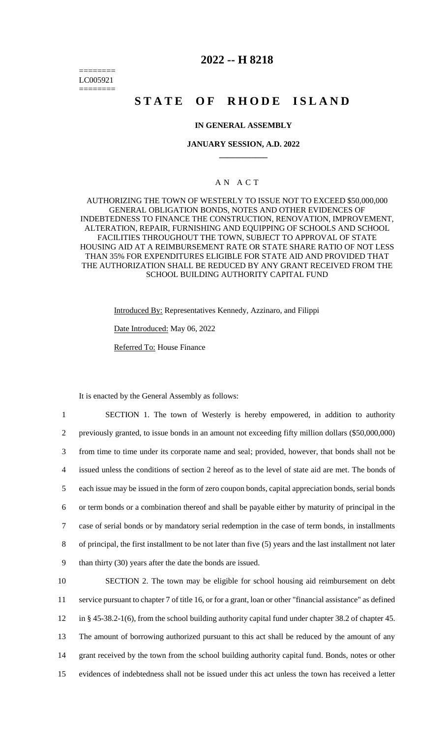======== LC005921 ========

## **2022 -- H 8218**

# **STATE OF RHODE ISLAND**

## **IN GENERAL ASSEMBLY**

#### **JANUARY SESSION, A.D. 2022 \_\_\_\_\_\_\_\_\_\_\_\_**

## A N A C T

AUTHORIZING THE TOWN OF WESTERLY TO ISSUE NOT TO EXCEED \$50,000,000 GENERAL OBLIGATION BONDS, NOTES AND OTHER EVIDENCES OF INDEBTEDNESS TO FINANCE THE CONSTRUCTION, RENOVATION, IMPROVEMENT, ALTERATION, REPAIR, FURNISHING AND EQUIPPING OF SCHOOLS AND SCHOOL FACILITIES THROUGHOUT THE TOWN, SUBJECT TO APPROVAL OF STATE HOUSING AID AT A REIMBURSEMENT RATE OR STATE SHARE RATIO OF NOT LESS THAN 35% FOR EXPENDITURES ELIGIBLE FOR STATE AID AND PROVIDED THAT THE AUTHORIZATION SHALL BE REDUCED BY ANY GRANT RECEIVED FROM THE SCHOOL BUILDING AUTHORITY CAPITAL FUND

> Introduced By: Representatives Kennedy, Azzinaro, and Filippi Date Introduced: May 06, 2022 Referred To: House Finance

It is enacted by the General Assembly as follows:

 SECTION 1. The town of Westerly is hereby empowered, in addition to authority previously granted, to issue bonds in an amount not exceeding fifty million dollars (\$50,000,000) from time to time under its corporate name and seal; provided, however, that bonds shall not be issued unless the conditions of section 2 hereof as to the level of state aid are met. The bonds of each issue may be issued in the form of zero coupon bonds, capital appreciation bonds, serial bonds or term bonds or a combination thereof and shall be payable either by maturity of principal in the case of serial bonds or by mandatory serial redemption in the case of term bonds, in installments of principal, the first installment to be not later than five (5) years and the last installment not later than thirty (30) years after the date the bonds are issued.

 SECTION 2. The town may be eligible for school housing aid reimbursement on debt service pursuant to chapter 7 of title 16, or for a grant, loan or other "financial assistance" as defined in § 45-38.2-1(6), from the school building authority capital fund under chapter 38.2 of chapter 45. The amount of borrowing authorized pursuant to this act shall be reduced by the amount of any grant received by the town from the school building authority capital fund. Bonds, notes or other evidences of indebtedness shall not be issued under this act unless the town has received a letter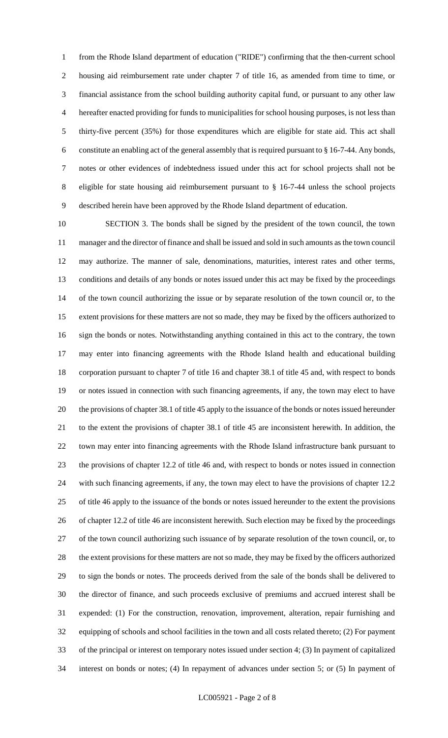from the Rhode Island department of education ("RIDE") confirming that the then-current school housing aid reimbursement rate under chapter 7 of title 16, as amended from time to time, or financial assistance from the school building authority capital fund, or pursuant to any other law hereafter enacted providing for funds to municipalities for school housing purposes, is not less than thirty-five percent (35%) for those expenditures which are eligible for state aid. This act shall constitute an enabling act of the general assembly that is required pursuant to § 16-7-44. Any bonds, notes or other evidences of indebtedness issued under this act for school projects shall not be eligible for state housing aid reimbursement pursuant to § 16-7-44 unless the school projects described herein have been approved by the Rhode Island department of education.

 SECTION 3. The bonds shall be signed by the president of the town council, the town manager and the director of finance and shall be issued and sold in such amounts as the town council may authorize. The manner of sale, denominations, maturities, interest rates and other terms, conditions and details of any bonds or notes issued under this act may be fixed by the proceedings of the town council authorizing the issue or by separate resolution of the town council or, to the extent provisions for these matters are not so made, they may be fixed by the officers authorized to sign the bonds or notes. Notwithstanding anything contained in this act to the contrary, the town may enter into financing agreements with the Rhode Island health and educational building corporation pursuant to chapter 7 of title 16 and chapter 38.1 of title 45 and, with respect to bonds or notes issued in connection with such financing agreements, if any, the town may elect to have the provisions of chapter 38.1 of title 45 apply to the issuance of the bonds or notes issued hereunder to the extent the provisions of chapter 38.1 of title 45 are inconsistent herewith. In addition, the town may enter into financing agreements with the Rhode Island infrastructure bank pursuant to the provisions of chapter 12.2 of title 46 and, with respect to bonds or notes issued in connection with such financing agreements, if any, the town may elect to have the provisions of chapter 12.2 of title 46 apply to the issuance of the bonds or notes issued hereunder to the extent the provisions of chapter 12.2 of title 46 are inconsistent herewith. Such election may be fixed by the proceedings of the town council authorizing such issuance of by separate resolution of the town council, or, to the extent provisions for these matters are not so made, they may be fixed by the officers authorized to sign the bonds or notes. The proceeds derived from the sale of the bonds shall be delivered to the director of finance, and such proceeds exclusive of premiums and accrued interest shall be expended: (1) For the construction, renovation, improvement, alteration, repair furnishing and equipping of schools and school facilities in the town and all costs related thereto; (2) For payment of the principal or interest on temporary notes issued under section 4; (3) In payment of capitalized interest on bonds or notes; (4) In repayment of advances under section 5; or (5) In payment of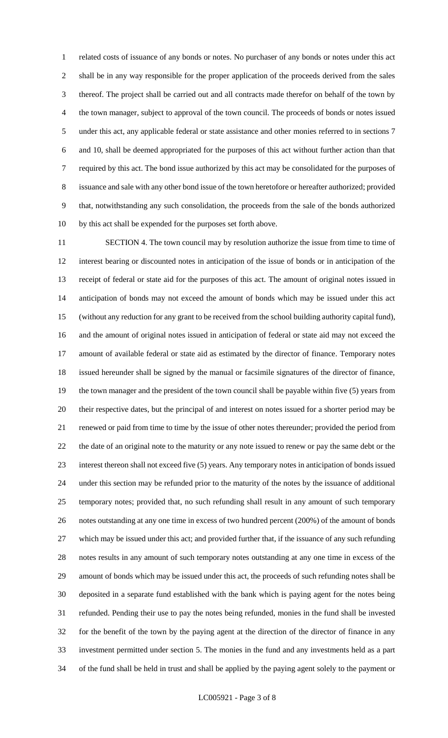related costs of issuance of any bonds or notes. No purchaser of any bonds or notes under this act shall be in any way responsible for the proper application of the proceeds derived from the sales thereof. The project shall be carried out and all contracts made therefor on behalf of the town by the town manager, subject to approval of the town council. The proceeds of bonds or notes issued under this act, any applicable federal or state assistance and other monies referred to in sections 7 and 10, shall be deemed appropriated for the purposes of this act without further action than that required by this act. The bond issue authorized by this act may be consolidated for the purposes of issuance and sale with any other bond issue of the town heretofore or hereafter authorized; provided that, notwithstanding any such consolidation, the proceeds from the sale of the bonds authorized by this act shall be expended for the purposes set forth above.

 SECTION 4. The town council may by resolution authorize the issue from time to time of interest bearing or discounted notes in anticipation of the issue of bonds or in anticipation of the receipt of federal or state aid for the purposes of this act. The amount of original notes issued in anticipation of bonds may not exceed the amount of bonds which may be issued under this act (without any reduction for any grant to be received from the school building authority capital fund), and the amount of original notes issued in anticipation of federal or state aid may not exceed the amount of available federal or state aid as estimated by the director of finance. Temporary notes issued hereunder shall be signed by the manual or facsimile signatures of the director of finance, the town manager and the president of the town council shall be payable within five (5) years from their respective dates, but the principal of and interest on notes issued for a shorter period may be renewed or paid from time to time by the issue of other notes thereunder; provided the period from the date of an original note to the maturity or any note issued to renew or pay the same debt or the interest thereon shall not exceed five (5) years. Any temporary notes in anticipation of bonds issued under this section may be refunded prior to the maturity of the notes by the issuance of additional temporary notes; provided that, no such refunding shall result in any amount of such temporary notes outstanding at any one time in excess of two hundred percent (200%) of the amount of bonds which may be issued under this act; and provided further that, if the issuance of any such refunding notes results in any amount of such temporary notes outstanding at any one time in excess of the amount of bonds which may be issued under this act, the proceeds of such refunding notes shall be deposited in a separate fund established with the bank which is paying agent for the notes being refunded. Pending their use to pay the notes being refunded, monies in the fund shall be invested for the benefit of the town by the paying agent at the direction of the director of finance in any investment permitted under section 5. The monies in the fund and any investments held as a part of the fund shall be held in trust and shall be applied by the paying agent solely to the payment or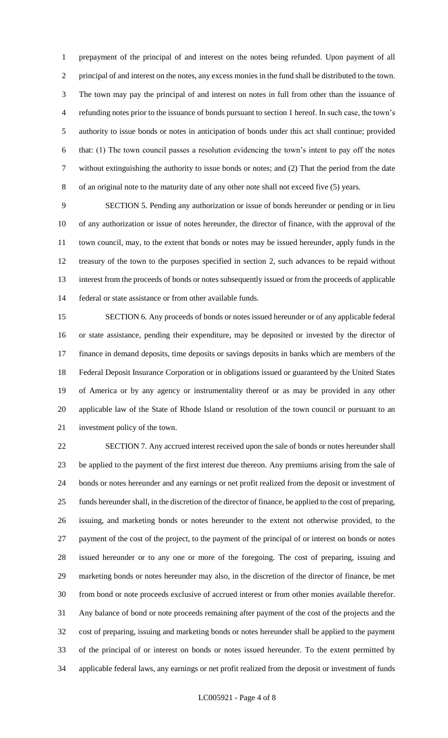prepayment of the principal of and interest on the notes being refunded. Upon payment of all principal of and interest on the notes, any excess monies in the fund shall be distributed to the town. The town may pay the principal of and interest on notes in full from other than the issuance of refunding notes prior to the issuance of bonds pursuant to section 1 hereof. In such case, the town's authority to issue bonds or notes in anticipation of bonds under this act shall continue; provided that: (1) The town council passes a resolution evidencing the town's intent to pay off the notes without extinguishing the authority to issue bonds or notes; and (2) That the period from the date of an original note to the maturity date of any other note shall not exceed five (5) years.

 SECTION 5. Pending any authorization or issue of bonds hereunder or pending or in lieu of any authorization or issue of notes hereunder, the director of finance, with the approval of the town council, may, to the extent that bonds or notes may be issued hereunder, apply funds in the treasury of the town to the purposes specified in section 2, such advances to be repaid without interest from the proceeds of bonds or notes subsequently issued or from the proceeds of applicable federal or state assistance or from other available funds.

 SECTION 6. Any proceeds of bonds or notes issued hereunder or of any applicable federal or state assistance, pending their expenditure, may be deposited or invested by the director of finance in demand deposits, time deposits or savings deposits in banks which are members of the Federal Deposit Insurance Corporation or in obligations issued or guaranteed by the United States of America or by any agency or instrumentality thereof or as may be provided in any other applicable law of the State of Rhode Island or resolution of the town council or pursuant to an investment policy of the town.

 SECTION 7. Any accrued interest received upon the sale of bonds or notes hereunder shall be applied to the payment of the first interest due thereon. Any premiums arising from the sale of bonds or notes hereunder and any earnings or net profit realized from the deposit or investment of funds hereunder shall, in the discretion of the director of finance, be applied to the cost of preparing, issuing, and marketing bonds or notes hereunder to the extent not otherwise provided, to the payment of the cost of the project, to the payment of the principal of or interest on bonds or notes issued hereunder or to any one or more of the foregoing. The cost of preparing, issuing and marketing bonds or notes hereunder may also, in the discretion of the director of finance, be met from bond or note proceeds exclusive of accrued interest or from other monies available therefor. Any balance of bond or note proceeds remaining after payment of the cost of the projects and the cost of preparing, issuing and marketing bonds or notes hereunder shall be applied to the payment of the principal of or interest on bonds or notes issued hereunder. To the extent permitted by applicable federal laws, any earnings or net profit realized from the deposit or investment of funds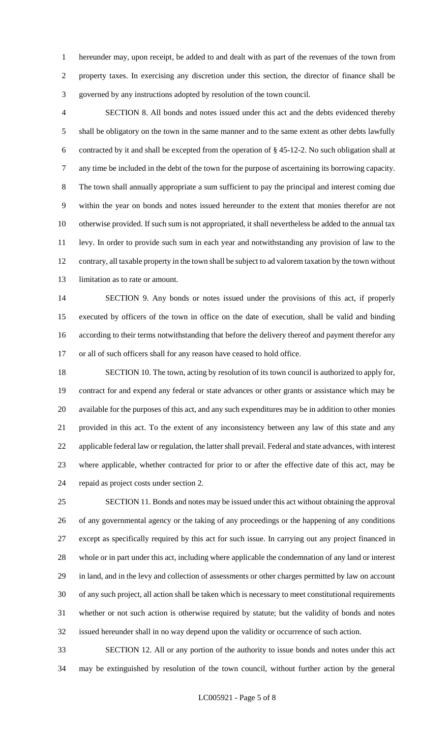hereunder may, upon receipt, be added to and dealt with as part of the revenues of the town from property taxes. In exercising any discretion under this section, the director of finance shall be governed by any instructions adopted by resolution of the town council.

 SECTION 8. All bonds and notes issued under this act and the debts evidenced thereby shall be obligatory on the town in the same manner and to the same extent as other debts lawfully contracted by it and shall be excepted from the operation of § 45-12-2. No such obligation shall at any time be included in the debt of the town for the purpose of ascertaining its borrowing capacity. The town shall annually appropriate a sum sufficient to pay the principal and interest coming due within the year on bonds and notes issued hereunder to the extent that monies therefor are not otherwise provided. If such sum is not appropriated, it shall nevertheless be added to the annual tax levy. In order to provide such sum in each year and notwithstanding any provision of law to the contrary, all taxable property in the town shall be subject to ad valorem taxation by the town without limitation as to rate or amount.

 SECTION 9. Any bonds or notes issued under the provisions of this act, if properly executed by officers of the town in office on the date of execution, shall be valid and binding according to their terms notwithstanding that before the delivery thereof and payment therefor any or all of such officers shall for any reason have ceased to hold office.

 SECTION 10. The town, acting by resolution of its town council is authorized to apply for, contract for and expend any federal or state advances or other grants or assistance which may be available for the purposes of this act, and any such expenditures may be in addition to other monies provided in this act. To the extent of any inconsistency between any law of this state and any applicable federal law or regulation, the latter shall prevail. Federal and state advances, with interest where applicable, whether contracted for prior to or after the effective date of this act, may be repaid as project costs under section 2.

 SECTION 11. Bonds and notes may be issued under this act without obtaining the approval of any governmental agency or the taking of any proceedings or the happening of any conditions except as specifically required by this act for such issue. In carrying out any project financed in whole or in part under this act, including where applicable the condemnation of any land or interest in land, and in the levy and collection of assessments or other charges permitted by law on account of any such project, all action shall be taken which is necessary to meet constitutional requirements whether or not such action is otherwise required by statute; but the validity of bonds and notes issued hereunder shall in no way depend upon the validity or occurrence of such action.

 SECTION 12. All or any portion of the authority to issue bonds and notes under this act may be extinguished by resolution of the town council, without further action by the general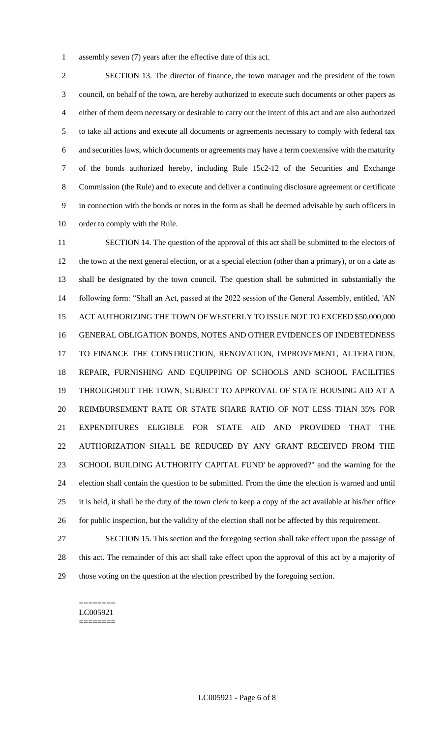assembly seven (7) years after the effective date of this act.

 SECTION 13. The director of finance, the town manager and the president of the town council, on behalf of the town, are hereby authorized to execute such documents or other papers as either of them deem necessary or desirable to carry out the intent of this act and are also authorized to take all actions and execute all documents or agreements necessary to comply with federal tax and securities laws, which documents or agreements may have a term coextensive with the maturity of the bonds authorized hereby, including Rule 15c2-12 of the Securities and Exchange Commission (the Rule) and to execute and deliver a continuing disclosure agreement or certificate in connection with the bonds or notes in the form as shall be deemed advisable by such officers in order to comply with the Rule.

 SECTION 14. The question of the approval of this act shall be submitted to the electors of the town at the next general election, or at a special election (other than a primary), or on a date as shall be designated by the town council. The question shall be submitted in substantially the following form: "Shall an Act, passed at the 2022 session of the General Assembly, entitled, 'AN ACT AUTHORIZING THE TOWN OF WESTERLY TO ISSUE NOT TO EXCEED \$50,000,000 GENERAL OBLIGATION BONDS, NOTES AND OTHER EVIDENCES OF INDEBTEDNESS TO FINANCE THE CONSTRUCTION, RENOVATION, IMPROVEMENT, ALTERATION, REPAIR, FURNISHING AND EQUIPPING OF SCHOOLS AND SCHOOL FACILITIES THROUGHOUT THE TOWN, SUBJECT TO APPROVAL OF STATE HOUSING AID AT A REIMBURSEMENT RATE OR STATE SHARE RATIO OF NOT LESS THAN 35% FOR EXPENDITURES ELIGIBLE FOR STATE AID AND PROVIDED THAT THE AUTHORIZATION SHALL BE REDUCED BY ANY GRANT RECEIVED FROM THE SCHOOL BUILDING AUTHORITY CAPITAL FUND' be approved?" and the warning for the election shall contain the question to be submitted. From the time the election is warned and until it is held, it shall be the duty of the town clerk to keep a copy of the act available at his/her office for public inspection, but the validity of the election shall not be affected by this requirement.

 SECTION 15. This section and the foregoing section shall take effect upon the passage of this act. The remainder of this act shall take effect upon the approval of this act by a majority of those voting on the question at the election prescribed by the foregoing section.

======== LC005921 ========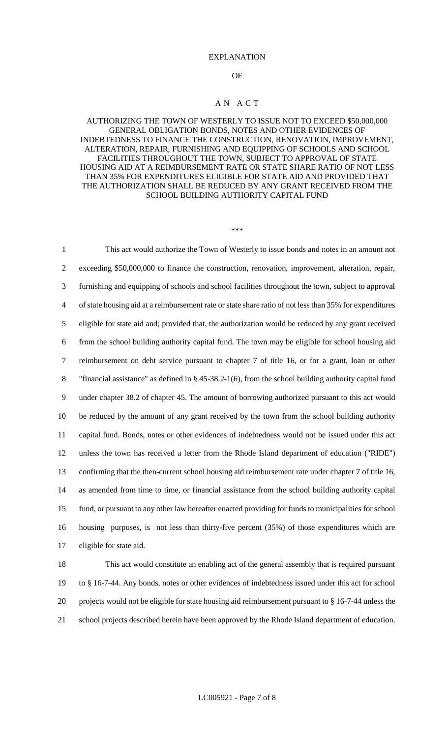#### EXPLANATION

#### OF

#### A N A C T

### AUTHORIZING THE TOWN OF WESTERLY TO ISSUE NOT TO EXCEED \$50,000,000 GENERAL OBLIGATION BONDS, NOTES AND OTHER EVIDENCES OF INDEBTEDNESS TO FINANCE THE CONSTRUCTION, RENOVATION, IMPROVEMENT, ALTERATION, REPAIR, FURNISHING AND EQUIPPING OF SCHOOLS AND SCHOOL FACILITIES THROUGHOUT THE TOWN, SUBJECT TO APPROVAL OF STATE HOUSING AID AT A REIMBURSEMENT RATE OR STATE SHARE RATIO OF NOT LESS THAN 35% FOR EXPENDITURES ELIGIBLE FOR STATE AID AND PROVIDED THAT THE AUTHORIZATION SHALL BE REDUCED BY ANY GRANT RECEIVED FROM THE SCHOOL BUILDING AUTHORITY CAPITAL FUND

\*\*\*

 This act would authorize the Town of Westerly to issue bonds and notes in an amount not exceeding \$50,000,000 to finance the construction, renovation, improvement, alteration, repair, furnishing and equipping of schools and school facilities throughout the town, subject to approval of state housing aid at a reimbursement rate or state share ratio of not less than 35% for expenditures eligible for state aid and; provided that, the authorization would be reduced by any grant received from the school building authority capital fund. The town may be eligible for school housing aid reimbursement on debt service pursuant to chapter 7 of title 16, or for a grant, loan or other "financial assistance" as defined in § 45-38.2-1(6), from the school building authority capital fund under chapter 38.2 of chapter 45. The amount of borrowing authorized pursuant to this act would be reduced by the amount of any grant received by the town from the school building authority capital fund. Bonds, notes or other evidences of indebtedness would not be issued under this act unless the town has received a letter from the Rhode Island department of education ("RIDE") confirming that the then-current school housing aid reimbursement rate under chapter 7 of title 16, as amended from time to time, or financial assistance from the school building authority capital fund, or pursuant to any other law hereafter enacted providing for funds to municipalities for school housing purposes, is not less than thirty-five percent (35%) of those expenditures which are eligible for state aid. This act would constitute an enabling act of the general assembly that is required pursuant

19 to § 16-7-44. Any bonds, notes or other evidences of indebtedness issued under this act for school 20 projects would not be eligible for state housing aid reimbursement pursuant to § 16-7-44 unless the 21 school projects described herein have been approved by the Rhode Island department of education.